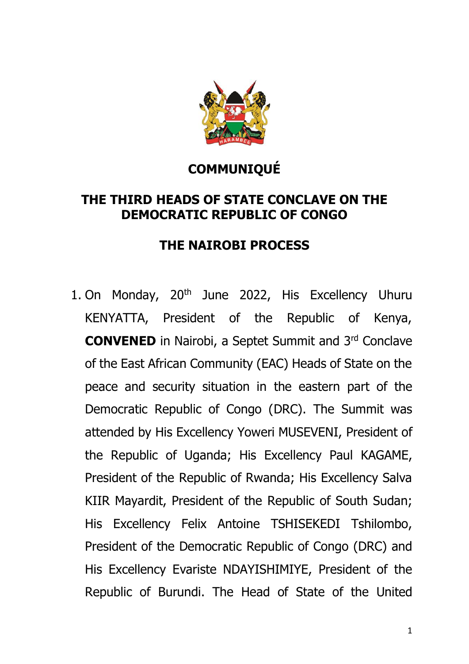

## **COMMUNIQUÉ**

## **THE THIRD HEADS OF STATE CONCLAVE ON THE DEMOCRATIC REPUBLIC OF CONGO**

## **THE NAIROBI PROCESS**

1. On Monday, 20<sup>th</sup> June 2022, His Excellency Uhuru KENYATTA, President of the Republic of Kenya, **CONVENED** in Nairobi, a Septet Summit and 3rd Conclave of the East African Community (EAC) Heads of State on the peace and security situation in the eastern part of the Democratic Republic of Congo (DRC). The Summit was attended by His Excellency Yoweri MUSEVENI, President of the Republic of Uganda; His Excellency Paul KAGAME, President of the Republic of Rwanda; His Excellency Salva KIIR Mayardit, President of the Republic of South Sudan; His Excellency Felix Antoine TSHISEKEDI Tshilombo, President of the Democratic Republic of Congo (DRC) and His Excellency Evariste NDAYISHIMIYE, President of the Republic of Burundi. The Head of State of the United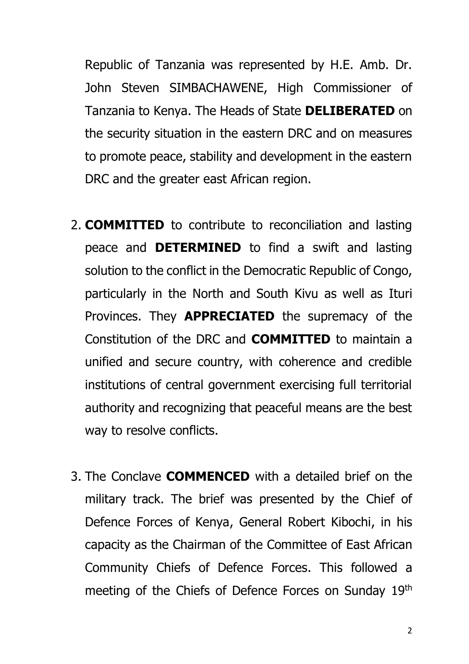Republic of Tanzania was represented by H.E. Amb. Dr. John Steven SIMBACHAWENE, High Commissioner of Tanzania to Kenya. The Heads of State **DELIBERATED** on the security situation in the eastern DRC and on measures to promote peace, stability and development in the eastern DRC and the greater east African region.

- 2. **COMMITTED** to contribute to reconciliation and lasting peace and **DETERMINED** to find a swift and lasting solution to the conflict in the Democratic Republic of Congo, particularly in the North and South Kivu as well as Ituri Provinces. They **APPRECIATED** the supremacy of the Constitution of the DRC and **COMMITTED** to maintain a unified and secure country, with coherence and credible institutions of central government exercising full territorial authority and recognizing that peaceful means are the best way to resolve conflicts.
- 3. The Conclave **COMMENCED** with a detailed brief on the military track. The brief was presented by the Chief of Defence Forces of Kenya, General Robert Kibochi, in his capacity as the Chairman of the Committee of East African Community Chiefs of Defence Forces. This followed a meeting of the Chiefs of Defence Forces on Sunday 19th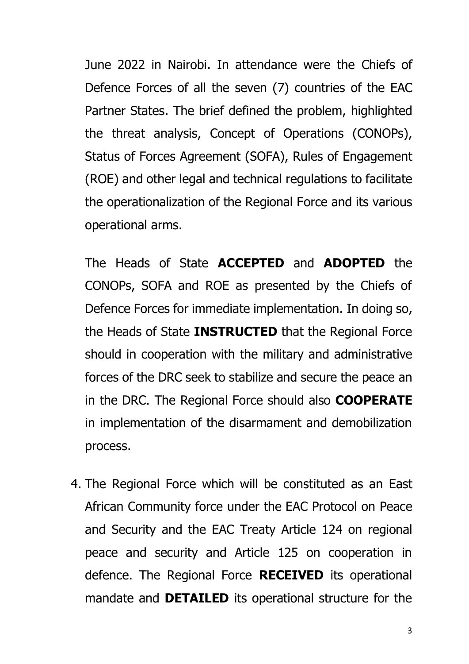June 2022 in Nairobi. In attendance were the Chiefs of Defence Forces of all the seven (7) countries of the EAC Partner States. The brief defined the problem, highlighted the threat analysis, Concept of Operations (CONOPs), Status of Forces Agreement (SOFA), Rules of Engagement (ROE) and other legal and technical regulations to facilitate the operationalization of the Regional Force and its various operational arms.

The Heads of State **ACCEPTED** and **ADOPTED** the CONOPs, SOFA and ROE as presented by the Chiefs of Defence Forces for immediate implementation. In doing so, the Heads of State **INSTRUCTED** that the Regional Force should in cooperation with the military and administrative forces of the DRC seek to stabilize and secure the peace an in the DRC. The Regional Force should also **COOPERATE** in implementation of the disarmament and demobilization process.

4. The Regional Force which will be constituted as an East African Community force under the EAC Protocol on Peace and Security and the EAC Treaty Article 124 on regional peace and security and Article 125 on cooperation in defence. The Regional Force **RECEIVED** its operational mandate and **DETAILED** its operational structure for the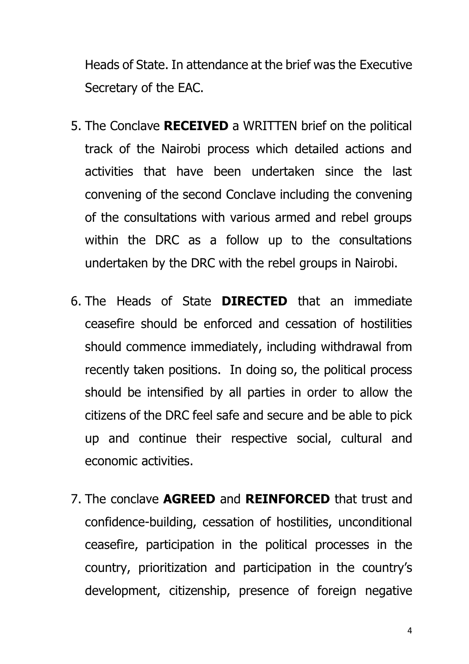Heads of State. In attendance at the brief was the Executive Secretary of the EAC.

- 5. The Conclave **RECEIVED** a WRITTEN brief on the political track of the Nairobi process which detailed actions and activities that have been undertaken since the last convening of the second Conclave including the convening of the consultations with various armed and rebel groups within the DRC as a follow up to the consultations undertaken by the DRC with the rebel groups in Nairobi.
- 6. The Heads of State **DIRECTED** that an immediate ceasefire should be enforced and cessation of hostilities should commence immediately, including withdrawal from recently taken positions. In doing so, the political process should be intensified by all parties in order to allow the citizens of the DRC feel safe and secure and be able to pick up and continue their respective social, cultural and economic activities.
- 7. The conclave **AGREED** and **REINFORCED** that trust and confidence-building, cessation of hostilities, unconditional ceasefire, participation in the political processes in the country, prioritization and participation in the country's development, citizenship, presence of foreign negative